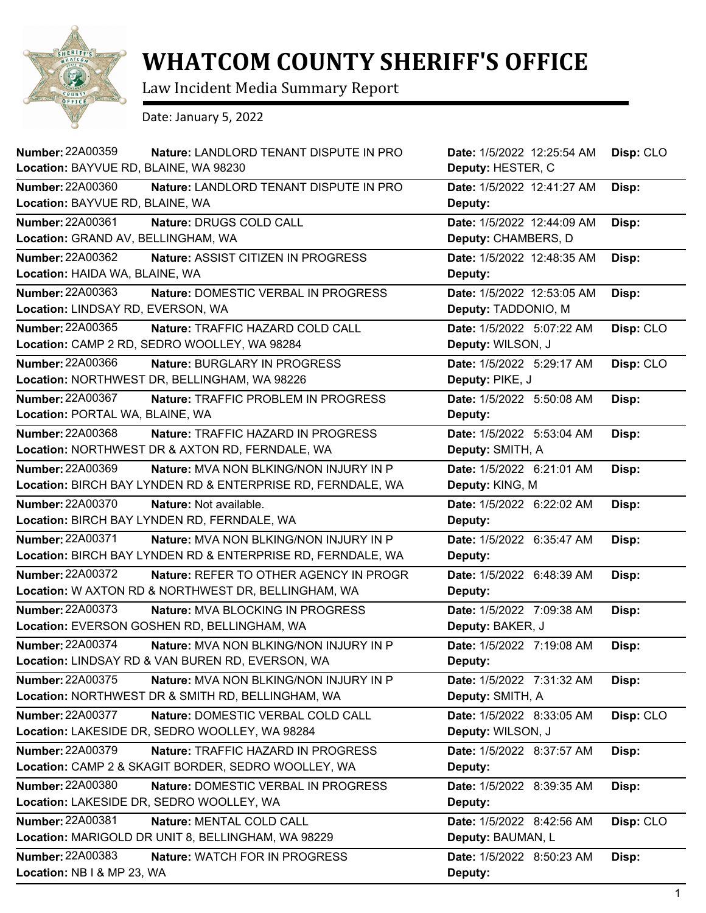

## **WHATCOM COUNTY SHERIFF'S OFFICE**

Law Incident Media Summary Report

Date: January 5, 2022

| <b>Number: 22A00359</b><br>Nature: LANDLORD TENANT DISPUTE IN PRO    | Date: 1/5/2022 12:25:54 AM | Disp: CLO |
|----------------------------------------------------------------------|----------------------------|-----------|
| Location: BAYVUE RD, BLAINE, WA 98230                                | Deputy: HESTER, C          |           |
| <b>Number: 22A00360</b><br>Nature: LANDLORD TENANT DISPUTE IN PRO    | Date: 1/5/2022 12:41:27 AM | Disp:     |
| Location: BAYVUE RD, BLAINE, WA                                      | Deputy:                    |           |
| Number: 22A00361<br>Nature: DRUGS COLD CALL                          | Date: 1/5/2022 12:44:09 AM | Disp:     |
| Location: GRAND AV, BELLINGHAM, WA                                   | Deputy: CHAMBERS, D        |           |
| Number: 22A00362<br>Nature: ASSIST CITIZEN IN PROGRESS               | Date: 1/5/2022 12:48:35 AM | Disp:     |
| Location: HAIDA WA, BLAINE, WA                                       | Deputy:                    |           |
| Number: 22A00363<br>Nature: DOMESTIC VERBAL IN PROGRESS              | Date: 1/5/2022 12:53:05 AM | Disp:     |
| Location: LINDSAY RD, EVERSON, WA                                    | Deputy: TADDONIO, M        |           |
| Number: 22A00365<br>Nature: TRAFFIC HAZARD COLD CALL                 | Date: 1/5/2022 5:07:22 AM  | Disp: CLO |
| Location: CAMP 2 RD, SEDRO WOOLLEY, WA 98284                         | Deputy: WILSON, J          |           |
| <b>Number: 22A00366</b><br>Nature: BURGLARY IN PROGRESS              | Date: 1/5/2022 5:29:17 AM  | Disp: CLO |
| Location: NORTHWEST DR, BELLINGHAM, WA 98226                         | Deputy: PIKE, J            |           |
| Number: 22A00367<br>Nature: TRAFFIC PROBLEM IN PROGRESS              | Date: 1/5/2022 5:50:08 AM  | Disp:     |
| Location: PORTAL WA, BLAINE, WA                                      | Deputy:                    |           |
| <b>Number: 22A00368</b><br><b>Nature: TRAFFIC HAZARD IN PROGRESS</b> | Date: 1/5/2022 5:53:04 AM  | Disp:     |
| Location: NORTHWEST DR & AXTON RD, FERNDALE, WA                      | Deputy: SMITH, A           |           |
| Number: 22A00369<br>Nature: MVA NON BLKING/NON INJURY IN P           | Date: 1/5/2022 6:21:01 AM  | Disp:     |
| Location: BIRCH BAY LYNDEN RD & ENTERPRISE RD, FERNDALE, WA          | Deputy: KING, M            |           |
| Number: 22A00370<br>Nature: Not available.                           | Date: 1/5/2022 6:22:02 AM  | Disp:     |
| Location: BIRCH BAY LYNDEN RD, FERNDALE, WA                          | Deputy:                    |           |
| Number: 22A00371<br><b>Nature: MVA NON BLKING/NON INJURY IN P</b>    | Date: 1/5/2022 6:35:47 AM  | Disp:     |
| Location: BIRCH BAY LYNDEN RD & ENTERPRISE RD, FERNDALE, WA          | Deputy:                    |           |
| <b>Number: 22A00372</b><br>Nature: REFER TO OTHER AGENCY IN PROGR    | Date: 1/5/2022 6:48:39 AM  | Disp:     |
| Location: W AXTON RD & NORTHWEST DR, BELLINGHAM, WA                  | Deputy:                    |           |
| <b>Number: 22A00373</b><br>Nature: MVA BLOCKING IN PROGRESS          | Date: 1/5/2022 7:09:38 AM  | Disp:     |
| Location: EVERSON GOSHEN RD, BELLINGHAM, WA                          | Deputy: BAKER, J           |           |
| <b>Number: 22A00374</b><br>Nature: MVA NON BLKING/NON INJURY IN P    | Date: 1/5/2022 7:19:08 AM  | Disp:     |
| Location: LINDSAY RD & VAN BUREN RD, EVERSON, WA                     | Deputy:                    |           |
| <b>Number: 22A00375</b><br>Nature: MVA NON BLKING/NON INJURY IN P    | Date: 1/5/2022 7:31:32 AM  | Disp:     |
| Location: NORTHWEST DR & SMITH RD, BELLINGHAM, WA                    | Deputy: SMITH, A           |           |
| Number: 22A00377<br>Nature: DOMESTIC VERBAL COLD CALL                | Date: 1/5/2022 8:33:05 AM  | Disp: CLO |
| Location: LAKESIDE DR, SEDRO WOOLLEY, WA 98284                       | Deputy: WILSON, J          |           |
| <b>Number: 22A00379</b><br>Nature: TRAFFIC HAZARD IN PROGRESS        | Date: 1/5/2022 8:37:57 AM  | Disp:     |
| Location: CAMP 2 & SKAGIT BORDER, SEDRO WOOLLEY, WA                  | Deputy:                    |           |
| <b>Number: 22A00380</b><br>Nature: DOMESTIC VERBAL IN PROGRESS       | Date: 1/5/2022 8:39:35 AM  | Disp:     |
| Location: LAKESIDE DR, SEDRO WOOLLEY, WA                             | Deputy:                    |           |
| Number: 22A00381<br>Nature: MENTAL COLD CALL                         | Date: 1/5/2022 8:42:56 AM  | Disp: CLO |
| Location: MARIGOLD DR UNIT 8, BELLINGHAM, WA 98229                   | Deputy: BAUMAN, L          |           |
| Number: 22A00383<br><b>Nature: WATCH FOR IN PROGRESS</b>             | Date: 1/5/2022 8:50:23 AM  | Disp:     |
| Location: NB I & MP 23, WA                                           | Deputy:                    |           |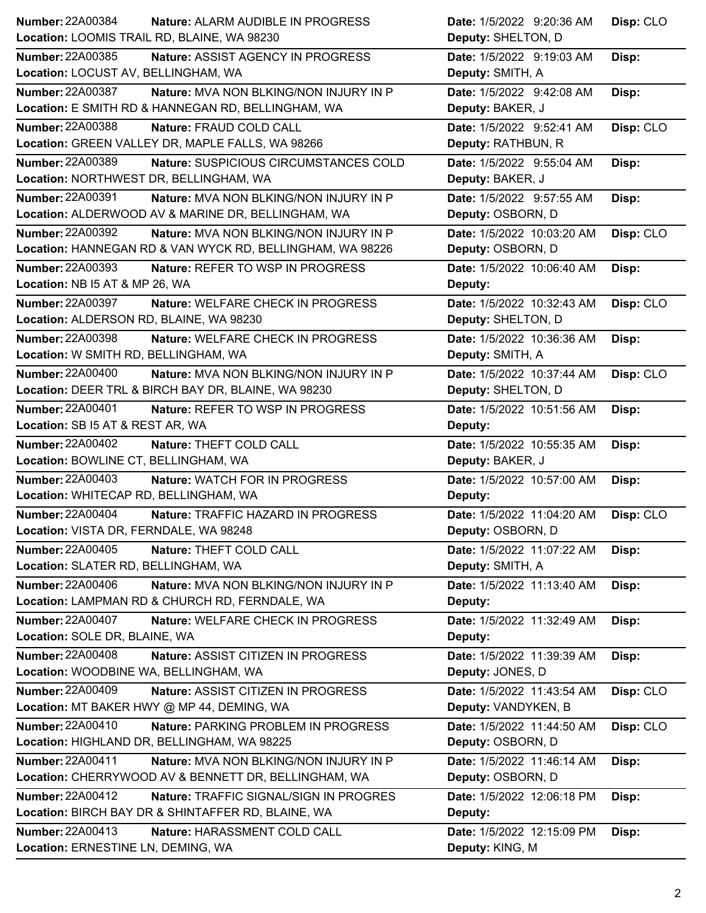|                                                                     | Date: 1/5/2022 9:20:36 AM  | Disp: CLO |
|---------------------------------------------------------------------|----------------------------|-----------|
| Location: LOOMIS TRAIL RD, BLAINE, WA 98230                         | Deputy: SHELTON, D         |           |
| <b>Number: 22A00385</b><br>Nature: ASSIST AGENCY IN PROGRESS        | Date: 1/5/2022 9:19:03 AM  | Disp:     |
| Location: LOCUST AV, BELLINGHAM, WA                                 | Deputy: SMITH, A           |           |
| <b>Number: 22A00387</b><br>Nature: MVA NON BLKING/NON INJURY IN P   | Date: 1/5/2022 9:42:08 AM  | Disp:     |
| Location: E SMITH RD & HANNEGAN RD, BELLINGHAM, WA                  | Deputy: BAKER, J           |           |
| <b>Number: 22A00388</b><br>Nature: FRAUD COLD CALL                  | Date: 1/5/2022 9:52:41 AM  | Disp: CLO |
| Location: GREEN VALLEY DR, MAPLE FALLS, WA 98266                    | Deputy: RATHBUN, R         |           |
| <b>Number: 22A00389</b><br>Nature: SUSPICIOUS CIRCUMSTANCES COLD    | Date: 1/5/2022 9:55:04 AM  | Disp:     |
| Location: NORTHWEST DR, BELLINGHAM, WA                              | Deputy: BAKER, J           |           |
| <b>Number: 22A00391</b><br>Nature: MVA NON BLKING/NON INJURY IN P   | Date: 1/5/2022 9:57:55 AM  | Disp:     |
| Location: ALDERWOOD AV & MARINE DR, BELLINGHAM, WA                  | Deputy: OSBORN, D          |           |
| <b>Number: 22A00392</b><br>Nature: MVA NON BLKING/NON INJURY IN P   | Date: 1/5/2022 10:03:20 AM | Disp: CLO |
| Location: HANNEGAN RD & VAN WYCK RD, BELLINGHAM, WA 98226           | Deputy: OSBORN, D          |           |
| Number: 22A00393<br>Nature: REFER TO WSP IN PROGRESS                | Date: 1/5/2022 10:06:40 AM | Disp:     |
| Location: NB I5 AT & MP 26, WA                                      | Deputy:                    |           |
| <b>Number: 22A00397</b><br><b>Nature: WELFARE CHECK IN PROGRESS</b> | Date: 1/5/2022 10:32:43 AM | Disp: CLO |
| Location: ALDERSON RD, BLAINE, WA 98230                             | Deputy: SHELTON, D         |           |
| <b>Number: 22A00398</b><br>Nature: WELFARE CHECK IN PROGRESS        | Date: 1/5/2022 10:36:36 AM | Disp:     |
| Location: W SMITH RD, BELLINGHAM, WA                                | Deputy: SMITH, A           |           |
| <b>Number: 22A00400</b><br>Nature: MVA NON BLKING/NON INJURY IN P   | Date: 1/5/2022 10:37:44 AM | Disp: CLO |
| Location: DEER TRL & BIRCH BAY DR, BLAINE, WA 98230                 | Deputy: SHELTON, D         |           |
| Number: 22A00401<br>Nature: REFER TO WSP IN PROGRESS                | Date: 1/5/2022 10:51:56 AM | Disp:     |
| Location: SB I5 AT & REST AR, WA                                    | Deputy:                    |           |
| <b>Number: 22A00402</b><br>Nature: THEFT COLD CALL                  | Date: 1/5/2022 10:55:35 AM | Disp:     |
|                                                                     |                            |           |
| Location: BOWLINE CT, BELLINGHAM, WA                                | Deputy: BAKER, J           |           |
| <b>Number: 22A00403</b><br>Nature: WATCH FOR IN PROGRESS            | Date: 1/5/2022 10:57:00 AM | Disp:     |
| Location: WHITECAP RD, BELLINGHAM, WA                               | Deputy:                    |           |
| <b>Number: 22A00404</b><br>Nature: TRAFFIC HAZARD IN PROGRESS       | Date: 1/5/2022 11:04:20 AM | Disp: CLO |
| Location: VISTA DR, FERNDALE, WA 98248                              | Deputy: OSBORN, D          |           |
| <b>Number: 22A00405</b><br>Nature: THEFT COLD CALL                  | Date: 1/5/2022 11:07:22 AM | Disp:     |
| Location: SLATER RD, BELLINGHAM, WA                                 | Deputy: SMITH, A           |           |
| Number: 22A00406<br>Nature: MVA NON BLKING/NON INJURY IN P          | Date: 1/5/2022 11:13:40 AM | Disp:     |
| Location: LAMPMAN RD & CHURCH RD, FERNDALE, WA                      | Deputy:                    |           |
| <b>Number: 22A00407</b><br>Nature: WELFARE CHECK IN PROGRESS        | Date: 1/5/2022 11:32:49 AM | Disp:     |
| Location: SOLE DR, BLAINE, WA                                       | Deputy:                    |           |
| Number: 22A00408<br>Nature: ASSIST CITIZEN IN PROGRESS              | Date: 1/5/2022 11:39:39 AM | Disp:     |
| Location: WOODBINE WA, BELLINGHAM, WA                               | Deputy: JONES, D           |           |
| Number: 22A00409<br>Nature: ASSIST CITIZEN IN PROGRESS              | Date: 1/5/2022 11:43:54 AM | Disp: CLO |
| Location: MT BAKER HWY @ MP 44, DEMING, WA                          | Deputy: VANDYKEN, B        |           |
| Number: 22A00410<br>Nature: PARKING PROBLEM IN PROGRESS             | Date: 1/5/2022 11:44:50 AM | Disp: CLO |
| Location: HIGHLAND DR, BELLINGHAM, WA 98225                         | Deputy: OSBORN, D          |           |
| <b>Number: 22A00411</b><br>Nature: MVA NON BLKING/NON INJURY IN P   | Date: 1/5/2022 11:46:14 AM | Disp:     |
| Location: CHERRYWOOD AV & BENNETT DR, BELLINGHAM, WA                | Deputy: OSBORN, D          |           |
| Number: 22A00412<br>Nature: TRAFFIC SIGNAL/SIGN IN PROGRES          | Date: 1/5/2022 12:06:18 PM | Disp:     |
| Location: BIRCH BAY DR & SHINTAFFER RD, BLAINE, WA                  | Deputy:                    |           |
| <b>Number: 22A00413</b><br>Nature: HARASSMENT COLD CALL             | Date: 1/5/2022 12:15:09 PM | Disp:     |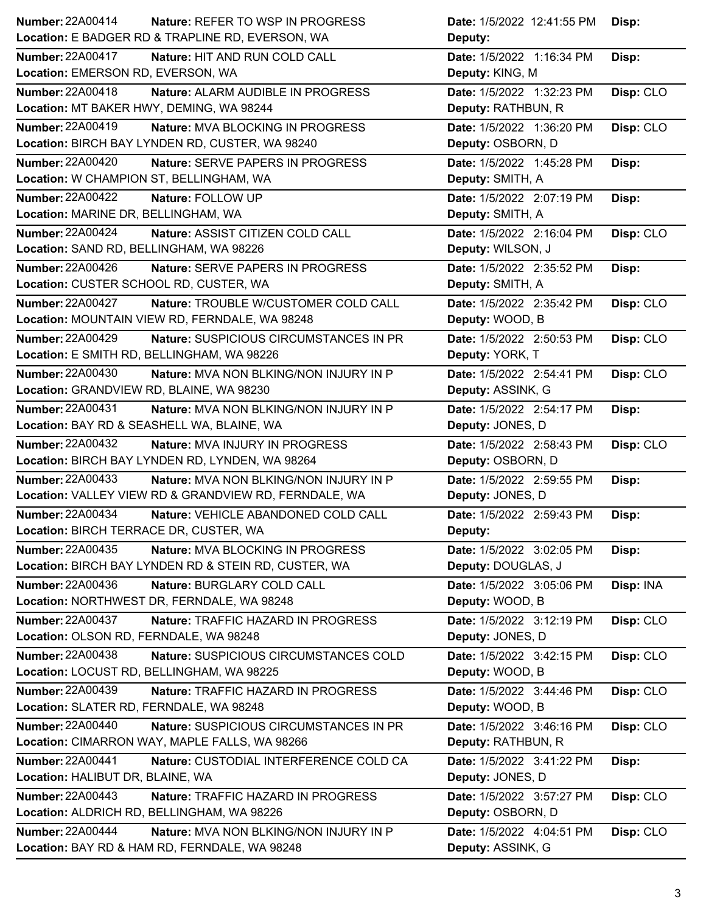| <b>Number: 22A00414</b><br>Nature: REFER TO WSP IN PROGRESS              | Date: 1/5/2022 12:41:55 PM | Disp:     |
|--------------------------------------------------------------------------|----------------------------|-----------|
| Location: E BADGER RD & TRAPLINE RD, EVERSON, WA                         | Deputy:                    |           |
| <b>Number: 22A00417</b><br>Nature: HIT AND RUN COLD CALL                 | Date: 1/5/2022 1:16:34 PM  | Disp:     |
| Location: EMERSON RD, EVERSON, WA                                        | Deputy: KING, M            |           |
| Number: 22A00418<br>Nature: ALARM AUDIBLE IN PROGRESS                    | Date: 1/5/2022 1:32:23 PM  | Disp: CLO |
| Location: MT BAKER HWY, DEMING, WA 98244                                 | Deputy: RATHBUN, R         |           |
| <b>Number: 22A00419</b><br><b>Nature: MVA BLOCKING IN PROGRESS</b>       | Date: 1/5/2022 1:36:20 PM  | Disp: CLO |
| Location: BIRCH BAY LYNDEN RD, CUSTER, WA 98240                          | Deputy: OSBORN, D          |           |
| <b>Number: 22A00420</b><br>Nature: SERVE PAPERS IN PROGRESS              | Date: 1/5/2022 1:45:28 PM  | Disp:     |
| Location: W CHAMPION ST, BELLINGHAM, WA                                  | Deputy: SMITH, A           |           |
| <b>Number: 22A00422</b><br>Nature: FOLLOW UP                             | Date: 1/5/2022 2:07:19 PM  | Disp:     |
| Location: MARINE DR, BELLINGHAM, WA                                      | Deputy: SMITH, A           |           |
| <b>Number: 22A00424</b><br>Nature: ASSIST CITIZEN COLD CALL              | Date: 1/5/2022 2:16:04 PM  | Disp: CLO |
| Location: SAND RD, BELLINGHAM, WA 98226                                  | Deputy: WILSON, J          |           |
| <b>Number: 22A00426</b><br>Nature: SERVE PAPERS IN PROGRESS              | Date: 1/5/2022 2:35:52 PM  | Disp:     |
| Location: CUSTER SCHOOL RD, CUSTER, WA                                   | Deputy: SMITH, A           |           |
| <b>Number: 22A00427</b><br>Nature: TROUBLE W/CUSTOMER COLD CALL          | Date: 1/5/2022 2:35:42 PM  | Disp: CLO |
| Location: MOUNTAIN VIEW RD, FERNDALE, WA 98248                           | Deputy: WOOD, B            |           |
| <b>Number: 22A00429</b><br>Nature: SUSPICIOUS CIRCUMSTANCES IN PR        | Date: 1/5/2022 2:50:53 PM  | Disp: CLO |
| Location: E SMITH RD, BELLINGHAM, WA 98226                               | Deputy: YORK, T            |           |
| <b>Number: 22A00430</b><br>Nature: MVA NON BLKING/NON INJURY IN P        | Date: 1/5/2022 2:54:41 PM  | Disp: CLO |
| Location: GRANDVIEW RD, BLAINE, WA 98230                                 | Deputy: ASSINK, G          |           |
| Number: 22A00431<br>Nature: MVA NON BLKING/NON INJURY IN P               | Date: 1/5/2022 2:54:17 PM  | Disp:     |
| Location: BAY RD & SEASHELL WA, BLAINE, WA                               | Deputy: JONES, D           |           |
|                                                                          |                            | Disp: CLO |
| <b>Number: 22A00432</b><br>Nature: MVA INJURY IN PROGRESS                | Date: 1/5/2022 2:58:43 PM  |           |
| Location: BIRCH BAY LYNDEN RD, LYNDEN, WA 98264                          | Deputy: OSBORN, D          |           |
| <b>Number: 22A00433</b><br><b>Nature: MVA NON BLKING/NON INJURY IN P</b> | Date: 1/5/2022 2:59:55 PM  | Disp:     |
| Location: VALLEY VIEW RD & GRANDVIEW RD, FERNDALE, WA                    | Deputy: JONES, D           |           |
| <b>Number: 22A00434</b><br>Nature: VEHICLE ABANDONED COLD CALL           | Date: 1/5/2022 2:59:43 PM  | Disp:     |
| Location: BIRCH TERRACE DR, CUSTER, WA                                   | <b>Deputy:</b>             |           |
| <b>Number: 22A00435</b><br>Nature: MVA BLOCKING IN PROGRESS              | Date: 1/5/2022 3:02:05 PM  | Disp:     |
| Location: BIRCH BAY LYNDEN RD & STEIN RD, CUSTER, WA                     | Deputy: DOUGLAS, J         |           |
| Number: 22A00436<br>Nature: BURGLARY COLD CALL                           | Date: 1/5/2022 3:05:06 PM  | Disp: INA |
| Location: NORTHWEST DR, FERNDALE, WA 98248                               | Deputy: WOOD, B            |           |
| <b>Number: 22A00437</b><br>Nature: TRAFFIC HAZARD IN PROGRESS            | Date: 1/5/2022 3:12:19 PM  | Disp: CLO |
| Location: OLSON RD, FERNDALE, WA 98248                                   | Deputy: JONES, D           |           |
| <b>Number: 22A00438</b><br>Nature: SUSPICIOUS CIRCUMSTANCES COLD         | Date: 1/5/2022 3:42:15 PM  | Disp: CLO |
| Location: LOCUST RD, BELLINGHAM, WA 98225                                | Deputy: WOOD, B            |           |
| <b>Number: 22A00439</b><br>Nature: TRAFFIC HAZARD IN PROGRESS            | Date: 1/5/2022 3:44:46 PM  | Disp: CLO |
| Location: SLATER RD, FERNDALE, WA 98248                                  | Deputy: WOOD, B            |           |
| <b>Number: 22A00440</b><br>Nature: SUSPICIOUS CIRCUMSTANCES IN PR        | Date: 1/5/2022 3:46:16 PM  | Disp: CLO |
| Location: CIMARRON WAY, MAPLE FALLS, WA 98266                            | Deputy: RATHBUN, R         |           |
| <b>Number: 22A00441</b><br>Nature: CUSTODIAL INTERFERENCE COLD CA        | Date: 1/5/2022 3:41:22 PM  | Disp:     |
| Location: HALIBUT DR, BLAINE, WA                                         | Deputy: JONES, D           |           |
| <b>Number: 22A00443</b><br>Nature: TRAFFIC HAZARD IN PROGRESS            | Date: 1/5/2022 3:57:27 PM  | Disp: CLO |
| Location: ALDRICH RD, BELLINGHAM, WA 98226                               | Deputy: OSBORN, D          |           |
| <b>Number: 22A00444</b><br>Nature: MVA NON BLKING/NON INJURY IN P        | Date: 1/5/2022 4:04:51 PM  | Disp: CLO |